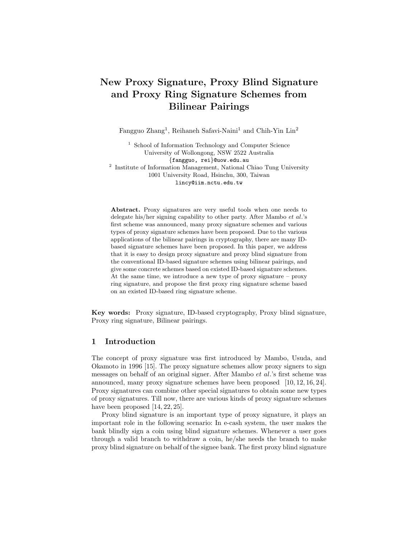# New Proxy Signature, Proxy Blind Signature and Proxy Ring Signature Schemes from Bilinear Pairings

Fangguo Zhang<sup>1</sup>, Reihaneh Safavi-Naini<sup>1</sup> and Chih-Yin Lin<sup>2</sup>

<sup>1</sup> School of Information Technology and Computer Science University of Wollongong, NSW 2522 Australia {fangguo, rei}@uow.edu.au 2 Institute of Information Management, National Chiao Tung University 1001 University Road, Hsinchu, 300, Taiwan

lincy@iim.nctu.edu.tw

Abstract. Proxy signatures are very useful tools when one needs to delegate his/her signing capability to other party. After Mambo et al.'s first scheme was announced, many proxy signature schemes and various types of proxy signature schemes have been proposed. Due to the various applications of the bilinear pairings in cryptography, there are many IDbased signature schemes have been proposed. In this paper, we address that it is easy to design proxy signature and proxy blind signature from the conventional ID-based signature schemes using bilinear pairings, and give some concrete schemes based on existed ID-based signature schemes. At the same time, we introduce a new type of proxy signature – proxy ring signature, and propose the first proxy ring signature scheme based on an existed ID-based ring signature scheme.

Key words: Proxy signature, ID-based cryptography, Proxy blind signature, Proxy ring signature, Bilinear pairings.

## 1 Introduction

The concept of proxy signature was first introduced by Mambo, Usuda, and Okamoto in 1996 [15]. The proxy signature schemes allow proxy signers to sign messages on behalf of an original signer. After Mambo et al.'s first scheme was announced, many proxy signature schemes have been proposed [10, 12, 16, 24]. Proxy signatures can combine other special signatures to obtain some new types of proxy signatures. Till now, there are various kinds of proxy signature schemes have been proposed [14, 22, 25].

Proxy blind signature is an important type of proxy signature, it plays an important role in the following scenario: In e-cash system, the user makes the bank blindly sign a coin using blind signature schemes. Whenever a user goes through a valid branch to withdraw a coin, he/she needs the branch to make proxy blind signature on behalf of the signee bank. The first proxy blind signature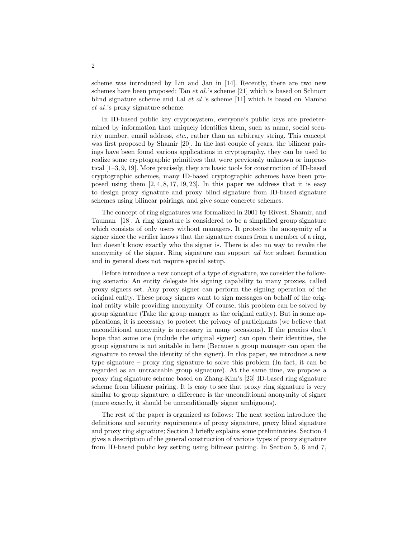scheme was introduced by Lin and Jan in [14]. Recently, there are two new schemes have been proposed: Tan  $et al.'s$  scheme [21] which is based on Schnorr blind signature scheme and Lal et al.'s scheme [11] which is based on Mambo et al.'s proxy signature scheme.

In ID-based public key cryptosystem, everyone's public keys are predetermined by information that uniquely identifies them, such as name, social security number, email address, etc., rather than an arbitrary string. This concept was first proposed by Shamir [20]. In the last couple of years, the bilinear pairings have been found various applications in cryptography, they can be used to realize some cryptographic primitives that were previously unknown or impractical [1–3, 9, 19]. More precisely, they are basic tools for construction of ID-based cryptographic schemes, many ID-based cryptographic schemes have been proposed using them  $[2, 4, 8, 17, 19, 23]$ . In this paper we address that it is easy to design proxy signature and proxy blind signature from ID-based signature schemes using bilinear pairings, and give some concrete schemes.

The concept of ring signatures was formalized in 2001 by Rivest, Shamir, and Tauman [18]. A ring signature is considered to be a simplified group signature which consists of only users without managers. It protects the anonymity of a signer since the verifier knows that the signature comes from a member of a ring, but doesn't know exactly who the signer is. There is also no way to revoke the anonymity of the signer. Ring signature can support ad hoc subset formation and in general does not require special setup.

Before introduce a new concept of a type of signature, we consider the following scenario: An entity delegate his signing capability to many proxies, called proxy signers set. Any proxy signer can perform the signing operation of the original entity. These proxy signers want to sign messages on behalf of the original entity while providing anonymity. Of course, this problem can be solved by group signature (Take the group manger as the original entity). But in some applications, it is necessary to protect the privacy of participants (we believe that unconditional anonymity is necessary in many occasions). If the proxies don't hope that some one (include the original signer) can open their identities, the group signature is not suitable in here (Because a group manager can open the signature to reveal the identity of the signer). In this paper, we introduce a new type signature – proxy ring signature to solve this problem (In fact, it can be regarded as an untraceable group signature). At the same time, we propose a proxy ring signature scheme based on Zhang-Kim's [23] ID-based ring signature scheme from bilinear pairing. It is easy to see that proxy ring signature is very similar to group signature, a difference is the unconditional anonymity of signer (more exactly, it should be unconditionally signer ambiguous).

The rest of the paper is organized as follows: The next section introduce the definitions and security requirements of proxy signature, proxy blind signature and proxy ring signature; Section 3 briefly explains some preliminaries. Section 4 gives a description of the general construction of various types of proxy signature from ID-based public key setting using bilinear pairing. In Section 5, 6 and 7,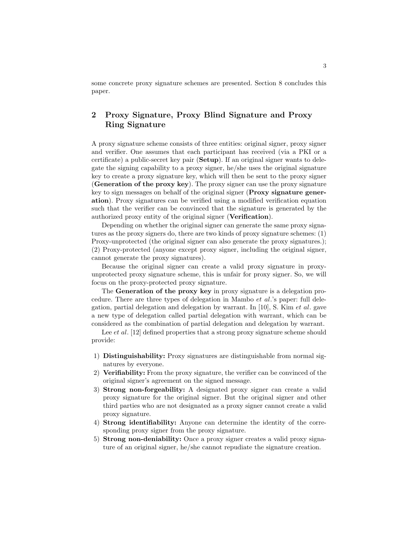some concrete proxy signature schemes are presented. Section 8 concludes this paper.

## 2 Proxy Signature, Proxy Blind Signature and Proxy Ring Signature

A proxy signature scheme consists of three entities: original signer, proxy signer and verifier. One assumes that each participant has received (via a PKI or a certificate) a public-secret key pair (Setup). If an original signer wants to delegate the signing capability to a proxy signer, he/she uses the original signature key to create a proxy signature key, which will then be sent to the proxy signer (Generation of the proxy key). The proxy signer can use the proxy signature key to sign messages on behalf of the original signer (Proxy signature generation). Proxy signatures can be verified using a modified verification equation such that the verifier can be convinced that the signature is generated by the authorized proxy entity of the original signer (Verification).

Depending on whether the original signer can generate the same proxy signatures as the proxy signers do, there are two kinds of proxy signature schemes: (1) Proxy-unprotected (the original signer can also generate the proxy signatures.); (2) Proxy-protected (anyone except proxy signer, including the original signer, cannot generate the proxy signatures).

Because the original signer can create a valid proxy signature in proxyunprotected proxy signature scheme, this is unfair for proxy signer. So, we will focus on the proxy-protected proxy signature.

The Generation of the proxy key in proxy signature is a delegation procedure. There are three types of delegation in Mambo et al.'s paper: full delegation, partial delegation and delegation by warrant. In [10], S. Kim *et al.* gave a new type of delegation called partial delegation with warrant, which can be considered as the combination of partial delegation and delegation by warrant.

Lee *et al.* [12] defined properties that a strong proxy signature scheme should provide:

- 1) Distinguishability: Proxy signatures are distinguishable from normal signatures by everyone.
- 2) Verifiability: From the proxy signature, the verifier can be convinced of the original signer's agreement on the signed message.
- 3) Strong non-forgeability: A designated proxy signer can create a valid proxy signature for the original signer. But the original signer and other third parties who are not designated as a proxy signer cannot create a valid proxy signature.
- 4) Strong identifiability: Anyone can determine the identity of the corresponding proxy signer from the proxy signature.
- 5) Strong non-deniability: Once a proxy signer creates a valid proxy signature of an original signer, he/she cannot repudiate the signature creation.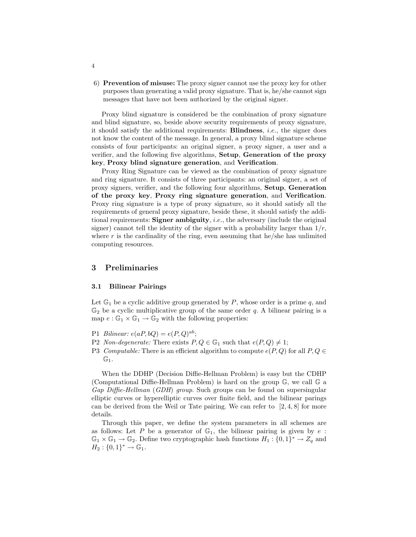6) Prevention of misuse: The proxy signer cannot use the proxy key for other purposes than generating a valid proxy signature. That is, he/she cannot sign messages that have not been authorized by the original signer.

Proxy blind signature is considered be the combination of proxy signature and blind signature, so, beside above security requirements of proxy signature, it should satisfy the additional requirements: Blindness, i.e., the signer does not know the content of the message. In general, a proxy blind signature scheme consists of four participants: an original signer, a proxy signer, a user and a verifier, and the following five algorithms, Setup, Generation of the proxy key, Proxy blind signature generation, and Verification.

Proxy Ring Signature can be viewed as the combination of proxy signature and ring signature. It consists of three participants: an original signer, a set of proxy signers, verifier, and the following four algorithms, Setup, Generation of the proxy key, Proxy ring signature generation, and Verification. Proxy ring signature is a type of proxy signature, so it should satisfy all the requirements of general proxy signature, beside these, it should satisfy the additional requirements: **Signer ambiguity**, *i.e.*, the adversary (include the original signer) cannot tell the identity of the signer with a probability larger than  $1/r$ , where r is the cardinality of the ring, even assuming that he/she has unlimited computing resources.

## 3 Preliminaries

#### 3.1 Bilinear Pairings

Let  $\mathbb{G}_1$  be a cyclic additive group generated by P, whose order is a prime q, and  $\mathbb{G}_2$  be a cyclic multiplicative group of the same order q. A bilinear pairing is a map  $e : \mathbb{G}_1 \times \mathbb{G}_1 \to \mathbb{G}_2$  with the following properties:

- P1 Bilinear:  $e(aP, bQ) = e(P, Q)^{ab}$ ;
- P2 Non-degenerate: There exists  $P, Q \in \mathbb{G}_1$  such that  $e(P, Q) \neq 1$ ;
- P3 Computable: There is an efficient algorithm to compute  $e(P,Q)$  for all  $P,Q \in$  $\mathbb{G}_1$ .

When the DDHP (Decision Diffie-Hellman Problem) is easy but the CDHP (Computational Diffie-Hellman Problem) is hard on the group G, we call G a Gap Diffie-Hellman (GDH) group. Such groups can be found on supersingular elliptic curves or hyperelliptic curves over finite field, and the bilinear parings can be derived from the Weil or Tate pairing. We can refer to  $[2, 4, 8]$  for more details.

Through this paper, we define the system parameters in all schemes are as follows: Let P be a generator of  $\mathbb{G}_1$ , the bilinear pairing is given by e:  $\mathbb{G}_1 \times \mathbb{G}_1 \to \mathbb{G}_2$ . Define two cryptographic hash functions  $H_1: \{0,1\}^* \to Z_q$  and  $H_2: \{0,1\}^* \to \mathbb{G}_1.$ 

4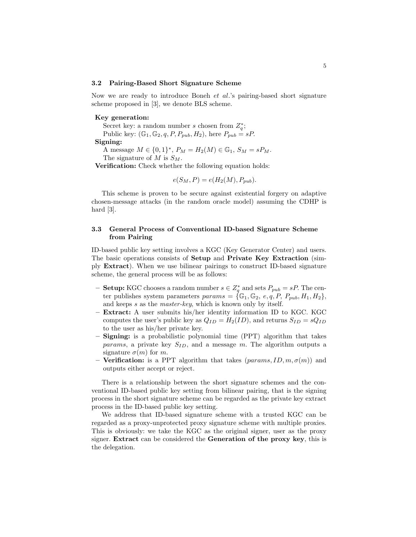#### 3.2 Pairing-Based Short Signature Scheme

Now we are ready to introduce Boneh et al.'s pairing-based short signature scheme proposed in [3], we denote BLS scheme.

#### Key generation:

Secret key: a random number s chosen from  $Z_q^*$ ; Public key:  $(\mathbb{G}_1, \mathbb{G}_2, q, P, P_{pub}, H_2)$ , here  $P_{pub} = sP$ . Signing:

A message  $M \in \{0,1\}^*, P_M = H_2(M) \in \mathbb{G}_1, S_M = sP_M.$ The signature of M is  $S_M$ .

Verification: Check whether the following equation holds:

$$
e(S_M, P) = e(H_2(M), P_{pub}).
$$

This scheme is proven to be secure against existential forgery on adaptive chosen-message attacks (in the random oracle model) assuming the CDHP is hard [3].

## 3.3 General Process of Conventional ID-based Signature Scheme from Pairing

ID-based public key setting involves a KGC (Key Generator Center) and users. The basic operations consists of Setup and Private Key Extraction (simply Extract). When we use bilinear pairings to construct ID-based signature scheme, the general process will be as follows:

- **Setup:** KGC chooses a random number  $s \in Z_q^*$  and sets  $P_{pub} = sP$ . The center publishes system parameters  $params = {\mathbb{G}_1, \mathbb{G}_2, e, q, P, P_{pub}, H_1, H_2},$ and keeps s as the *master-key*, which is known only by itself.
- Extract: A user submits his/her identity information ID to KGC. KGC computes the user's public key as  $Q_{ID} = H_2(ID)$ , and returns  $S_{ID} = sQ_{ID}$ to the user as his/her private key.
- Signing: is a probabilistic polynomial time (PPT) algorithm that takes params, a private key  $S_{ID}$ , and a message m. The algorithm outputs a signature  $\sigma(m)$  for m.
- Verification: is a PPT algorithm that takes  $(\text{params}, \text{ID}, \text{m}, \sigma(m))$  and outputs either accept or reject.

There is a relationship between the short signature schemes and the conventional ID-based public key setting from bilinear pairing, that is the signing process in the short signature scheme can be regarded as the private key extract process in the ID-based public key setting.

We address that ID-based signature scheme with a trusted KGC can be regarded as a proxy-unprotected proxy signature scheme with multiple proxies. This is obviously: we take the KGC as the original signer, user as the proxy signer. Extract can be considered the Generation of the proxy key, this is the delegation.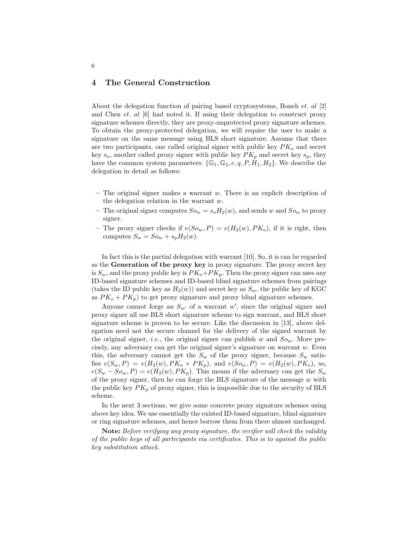## 4 The General Construction

About the delegation function of pairing based cryptosystems, Boneh et. al [2] and Chen et. al  $[6]$  had noted it. If using their delegation to construct proxy signature schemes directly, they are proxy-unprotected proxy signature schemes. To obtain the proxy-protected delegation, we will require the user to make a signature on the same message using BLS short signature. Assume that there are two participants, one called original signer with public key  $PK<sub>o</sub>$  and secret key  $s_o$ , another called proxy signer with public key  $PK_p$  and secret key  $s_p$ , they have the common system parameters:  $\{\mathbb{G}_1, \mathbb{G}_2, e, q, P, H_1, H_2\}$ . We describe the delegation in detail as follows:

- $-$  The original signer makes a warrant w. There is an explicit description of the delegation relation in the warrant w.
- The original signer computes  $So_w = s_o H_2(w)$ , and sends w and  $So_w$  to proxy signer.
- The proxy signer checks if  $e(S_{0w}, P) = e(H_2(w), PK_o)$ , if it is right, then computes  $S_w = So_w + s_p H_2(w)$ .

In fact this is the partial delegation with warrant [10]. So, it is can be regarded as the Generation of the proxy key in proxy signature. The proxy secret key is  $S_w$ , and the proxy public key is  $PK_o+PK_p$ . Then the proxy signer can uses any ID-based signature schemes and ID-based blind signature schemes from pairings (takes the ID public key as  $H_2(w)$ ) and secret key as  $S_w$ , the public key of KGC as  $PK_o + PK_p$ ) to get proxy signature and proxy blind signature schemes.

Anyone cannot forge an  $S_{w'}$  of a warrant w', since the original signer and proxy signer all use BLS short signature scheme to sign warrant, and BLS short signature scheme is proven to be secure. Like the discussion in [13], above delegation need not the secure channel for the delivery of the signed warrant by the original signer, *i.e.*, the original signer can publish w and  $So<sub>w</sub>$ . More precisely, any adversary can get the original signer's signature on warrant w. Even this, the adversary cannot get the  $S_w$  of the proxy signer, because  $S_w$  satisfies  $e(S_w, P) = e(H_2(w), PK_o + PK_p)$ , and  $e(S_{ow}, P) = e(H_2(w), PK_o)$ , so,  $e(S_w - So_w, P) = e(H_2(w), PK_p)$ . This means if the adversary can get the  $S_w$ of the proxy signer, then he can forge the BLS signature of the message  $w$  with the public key  $PK_p$  of proxy signer, this is impossible due to the security of BLS scheme.

In the next 3 sections, we give some concrete proxy signature schemes using above key idea. We use essentially the existed ID-based signature, blind signature or ring signature schemes, and hence borrow them from there almost unchanged.

Note: Before verifying any proxy signature, the verifier will check the validity of the public keys of all participants via certificates. This is to against the public key substitution attack.

6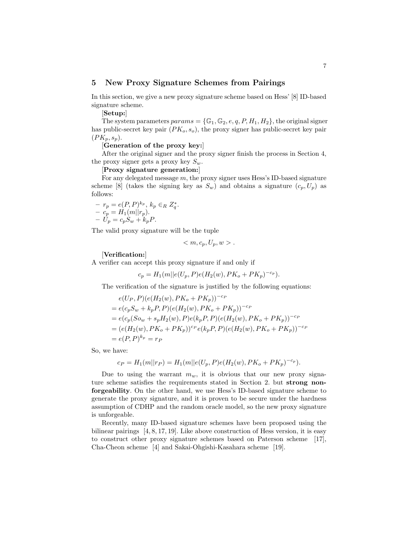## 5 New Proxy Signature Schemes from Pairings

In this section, we give a new proxy signature scheme based on Hess' [8] ID-based signature scheme.

[Setup:]

The system parameters  $params = \{\mathbb{G}_1, \mathbb{G}_2, e, q, P, H_1, H_2\}$ , the original signer has public-secret key pair  $(PK_o, s_o)$ , the proxy signer has public-secret key pair  $(PK_p, s_p).$ 

#### [Generation of the proxy key:]

After the original signer and the proxy signer finish the process in Section 4, the proxy signer gets a proxy key  $S_w$ .

[Proxy signature generation:]

For any delegated message  $m$ , the proxy signer uses Hess's ID-based signature scheme [8] (takes the signing key as  $S_w$ ) and obtains a signature  $(c_p, U_p)$  as follows:

$$
- r_p = e(P, P)^{k_p}, k_p \in_R Z_q^*.
$$
  

$$
- c_p = H_1(m||r_p).
$$
  

$$
- U_p = c_p S_w + k_p P.
$$

The valid proxy signature will be the tuple

$$
\langle m, c_p, U_p, w \rangle.
$$

#### [Verification:]

A verifier can accept this proxy signature if and only if

$$
c_p = H_1(m||e(U_p, P)e(H_2(w), PK_o + PK_p)^{-c_p}).
$$

The verification of the signature is justified by the following equations:

$$
e(U_P, P)(e(H_2(w), PK_o + PK_p))^{-c_P}
$$
  
=  $e(c_pS_w + k_pP, P)(e(H_2(w), PK_o + PK_p))^{-c_P}$   
=  $e(c_p(So_w + s_pH_2(w), P)e(k_pP, P)(e(H_2(w), PK_o + PK_p))^{-c_P}$   
=  $(e(H_2(w), PK_o + PK_p))^{c_P}e(k_pP, P)(e(H_2(w), PK_o + PK_p))^{-c_P}$   
=  $e(P, P)^{k_p} = r_P$ 

So, we have:

$$
c_P = H_1(m||r_P) = H_1(m||e(U_p, P)e(H_2(w), PK_o + PK_p)^{-c_p}).
$$

Due to using the warrant  $m_w$ , it is obvious that our new proxy signature scheme satisfies the requirements stated in Section 2. but strong nonforgeability. On the other hand, we use Hess's ID-based signature scheme to generate the proxy signature, and it is proven to be secure under the hardness assumption of CDHP and the random oracle model, so the new proxy signature is unforgeable.

Recently, many ID-based signature schemes have been proposed using the bilinear pairings  $[4, 8, 17, 19]$ . Like above construction of Hess version, it is easy to construct other proxy signature schemes based on Paterson scheme [17], Cha-Cheon scheme [4] and Sakai-Ohgishi-Kasahara scheme [19].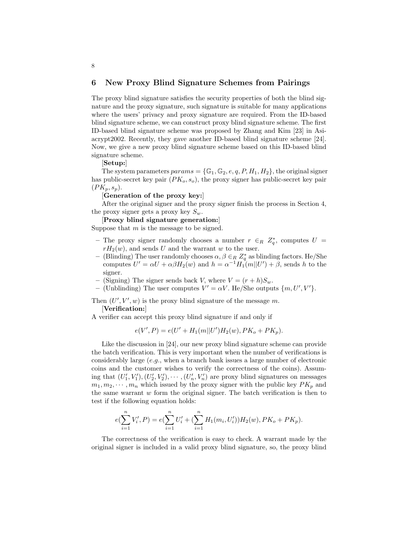## 6 New Proxy Blind Signature Schemes from Pairings

The proxy blind signature satisfies the security properties of both the blind signature and the proxy signature, such signature is suitable for many applications where the users' privacy and proxy signature are required. From the ID-based blind signature scheme, we can construct proxy blind signature scheme. The first ID-based blind signature scheme was proposed by Zhang and Kim [23] in Asiacrypt2002. Recently, they gave another ID-based blind signature scheme [24]. Now, we give a new proxy blind signature scheme based on this ID-based blind signature scheme.

[Setup:]

8

The system parameters  $params = \{\mathbb{G}_1, \mathbb{G}_2, e, q, P, H_1, H_2\}$ , the original signer has public-secret key pair  $(PK_o, s_o)$ , the proxy signer has public-secret key pair  $(PK_p, s_p).$ 

[Generation of the proxy key:]

After the original signer and the proxy signer finish the process in Section 4, the proxy signer gets a proxy key  $S_w$ .

[Proxy blind signature generation:]

Suppose that  $m$  is the message to be signed.

- The proxy signer randomly chooses a number  $r \in_R Z_q^*$ , computes  $U =$  $rH_2(w)$ , and sends U and the warrant w to the user.
- (Blinding) The user randomly chooses  $\alpha, \beta \in R \mathbb{Z}_q^*$  as blinding factors. He/She computes  $U' = \alpha U + \alpha \beta H_2(w)$  and  $h = \alpha^{-1} H_1(m||U') + \beta$ , sends h to the signer.
- (Signing) The signer sends back V, where  $V = (r + h)S_w$ .
- (Unblinding) The user computes  $V' = \alpha V$ . He/She outputs  $\{m, U', V'\}$ .

Then  $(U', V', w)$  is the proxy blind signature of the message m.

[Verification:]

A verifier can accept this proxy blind signature if and only if

$$
e(V', P) = e(U' + H_1(m||U')H_2(w), PK_o + PK_p).
$$

Like the discussion in [24], our new proxy blind signature scheme can provide the batch verification. This is very important when the number of verifications is considerably large (e.g., when a branch bank issues a large number of electronic coins and the customer wishes to verify the correctness of the coins). Assuming that  $(U'_1, V'_1), (U'_2, V'_2), \cdots, (U'_n, V'_n)$  are proxy blind signatures on messages  $m_1, m_2, \dots, m_n$  which issued by the proxy signer with the public key  $PK_p$  and the same warrant  $w$  form the original signer. The batch verification is then to test if the following equation holds:

$$
e(\sum_{i=1}^{n} V'_{i}, P) = e(\sum_{i=1}^{n} U'_{i} + (\sum_{i=1}^{n} H_{1}(m_{i}, U'_{i}))H_{2}(w), PK_{o} + PK_{p}).
$$

The correctness of the verification is easy to check. A warrant made by the original signer is included in a valid proxy blind signature, so, the proxy blind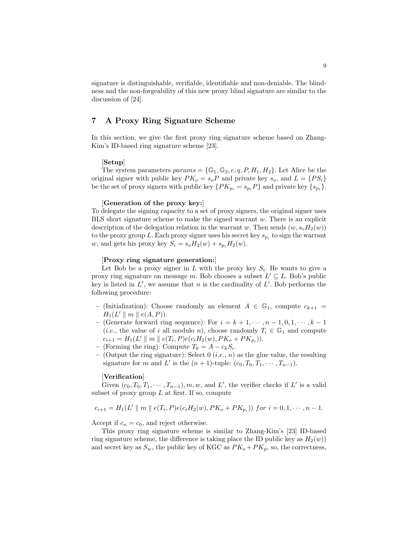signature is distinguishable, verifiable, identifiable and non-deniable. The blindness and the non-forgeability of this new proxy blind signature are similar to the discussion of [24].

## 7 A Proxy Ring Signature Scheme

In this section, we give the first proxy ring signature scheme based on Zhang-Kim's ID-based ring signature scheme [23].

#### [Setup]

The system parameters  $params = \{\mathbb{G}_1, \mathbb{G}_2, e, q, P, H_1, H_2\}$ . Let Alice be the original signer with public key  $PK_o = s_oP$  and private key  $s_o$ , and  $L = \{PS_i\}$ be the set of proxy signers with public key  $\{PK_{p_i} = s_{p_i}P\}$  and private key  $\{s_{p_i}\}.$ 

#### [Generation of the proxy key:]

To delegate the signing capacity to a set of proxy signers, the original signer uses BLS short signature scheme to make the signed warrant  $w$ . There is an explicit description of the delegation relation in the warrant w. Then sends  $(w, s_oH_2(w))$ to the proxy group L. Each proxy signer uses his secret key  $s_{p_i}$  to sign the warrant w, and gets his proxy key  $S_i = s_o H_2(w) + s_{p_i} H_2(w)$ .

#### [Proxy ring signature generation:]

Let Bob be a proxy signer in L with the proxy key  $S_i$ . He wants to give a proxy ring signature on message m. Bob chooses a subset  $L' \subseteq L$ . Bob's public key is listed in  $L'$ , we assume that n is the cardinality of  $L'$ . Bob performs the following procedure:

- (Initialization): Choose randomly an element  $A \in \mathbb{G}_1$ , compute  $c_{k+1}$  $H_1(L' \parallel m \parallel e(A, P)).$
- (Generate forward ring sequence): For  $i = k + 1, \dots, n 1, 0, 1, \dots, k 1$ (*i.e.*, the value of i all modulo n), choose randomly  $T_i \in \mathbb{G}_1$  and compute  $c_{i+1} = H_1(L' \parallel m \parallel e(T_i, P) e(c_i H_2(w), PK_o + PK_{p_i})).$
- (Forming the ring): Compute  $T_k = A c_k S_i$ .
- (Output the ring signature): Select 0 (*i.e.*, *n*) as the glue value, the resulting signature for m and L' is the  $(n + 1)$ -tuple:  $(c_0, T_0, T_1, \cdots, T_{n-1})$ .

#### [Verification]

Given  $(c_0, T_0, T_1, \dots, T_{n-1}), m, w$ , and L', the verifier checks if L' is a valid subset of proxy group  $L$  at first. If so, compute

$$
c_{i+1} = H_1(L' \parallel m \parallel e(T_i, P)e(c_iH_2(w), PK_o + PK_{p_i})) \text{ for } i = 0, 1, \cdots, n-1.
$$

Accept if  $c_n = c_0$ , and reject otherwise.

This proxy ring signature scheme is similar to Zhang-Kim's [23] ID-based ring signature scheme, the difference is taking place the ID public key as  $H_2(w)$ and secret key as  $S_w$ , the public key of KGC as  $PK_o + PK_p$ , so, the correctness,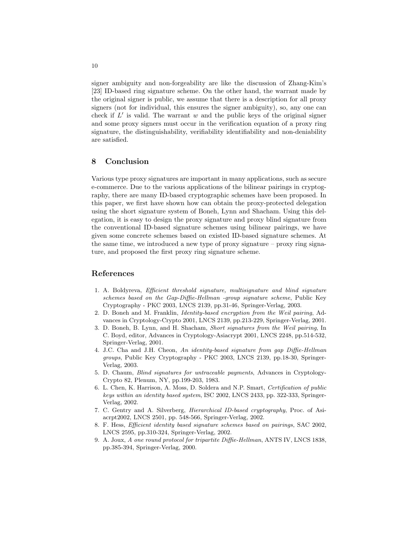signer ambiguity and non-forgeability are like the discussion of Zhang-Kim's [23] ID-based ring signature scheme. On the other hand, the warrant made by the original signer is public, we assume that there is a description for all proxy signers (not for individual, this ensures the signer ambiguity), so, any one can check if  $L'$  is valid. The warrant  $w$  and the public keys of the original signer and some proxy signers must occur in the verification equation of a proxy ring signature, the distinguishability, verifiability identifiability and non-deniability are satisfied.

## 8 Conclusion

Various type proxy signatures are important in many applications, such as secure e-commerce. Due to the various applications of the bilinear pairings in cryptography, there are many ID-based cryptographic schemes have been proposed. In this paper, we first have shown how can obtain the proxy-protected delegation using the short signature system of Boneh, Lynn and Shacham. Using this delegation, it is easy to design the proxy signature and proxy blind signature from the conventional ID-based signature schemes using bilinear pairings, we have given some concrete schemes based on existed ID-based signature schemes. At the same time, we introduced a new type of proxy signature – proxy ring signature, and proposed the first proxy ring signature scheme.

## References

- 1. A. Boldyreva, Efficient threshold signature, multisignature and blind signature schemes based on the Gap-Diffie-Hellman -group signature scheme, Public Key Cryptography - PKC 2003, LNCS 2139, pp.31-46, Springer-Verlag, 2003.
- 2. D. Boneh and M. Franklin, Identity-based encryption from the Weil pairing, Advances in Cryptology-Crypto 2001, LNCS 2139, pp.213-229, Springer-Verlag, 2001.
- 3. D. Boneh, B. Lynn, and H. Shacham, Short signatures from the Weil pairing, In C. Boyd, editor, Advances in Cryptology-Asiacrypt 2001, LNCS 2248, pp.514-532, Springer-Verlag, 2001.
- 4. J.C. Cha and J.H. Cheon, An identity-based signature from gap Diffie-Hellman groups, Public Key Cryptography - PKC 2003, LNCS 2139, pp.18-30, Springer-Verlag, 2003.
- 5. D. Chaum, Blind signatures for untraceable payments, Advances in Cryptology-Crypto 82, Plenum, NY, pp.199-203, 1983.
- 6. L. Chen, K. Harrison, A. Moss, D. Soldera and N.P. Smart, Certification of public keys within an identity based system, ISC 2002, LNCS 2433, pp. 322-333, Springer-Verlag, 2002.
- 7. C. Gentry and A. Silverberg, Hierarchical ID-based cryptography, Proc. of Asiacrpt2002, LNCS 2501, pp. 548-566, Springer-Verlag, 2002.
- 8. F. Hess, Efficient identity based signature schemes based on pairings, SAC 2002, LNCS 2595, pp.310-324, Springer-Verlag, 2002.
- 9. A. Joux, A one round protocol for tripartite Diffie-Hellman, ANTS IV, LNCS 1838, pp.385-394, Springer-Verlag, 2000.